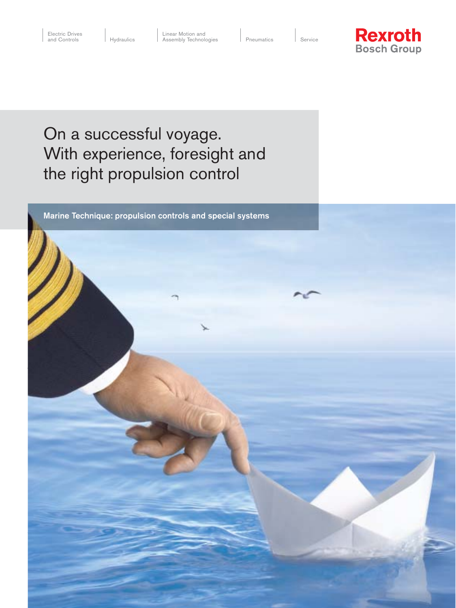I Service



On a successful voyage. With experience, foresight and the right propulsion control

Marine Technique: propulsion controls and special systems

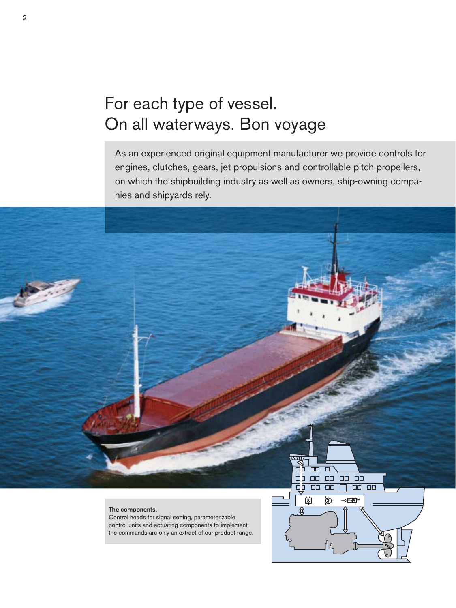# For each type of vessel. On all waterways. Bon voyage

As an experienced original equipment manufacturer we provide controls for engines, clutches, gears, jet propulsions and controllable pitch propellers, on which the shipbuilding industry as well as owners, ship-owning companies and shipyards rely.

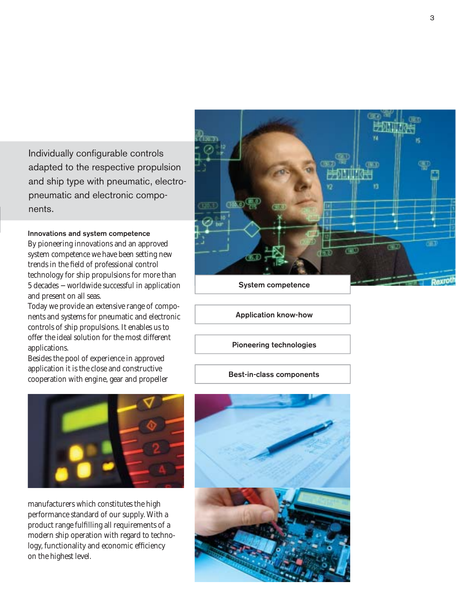Individually configurable controls adapted to the respective propulsion and ship type with pneumatic, electropneumatic and electronic components.

### Innovations and system competence

By pioneering innovations and an approved system competence we have been setting new trends in the field of professional control technology for ship propulsions for more than 5 decades − worldwide successful in application and present on all seas.

Today we provide an extensive range of components and systems for pneumatic and electronic controls of ship propulsions. It enables us to offer the ideal solution for the most different applications.

Besides the pool of experience in approved application it is the close and constructive cooperation with engine, gear and propeller



manufacturers which constitutes the high performance standard of our supply. With a product range fulfilling all requirements of a modern ship operation with regard to technology, functionality and economic efficiency on the highest level.



System competence

Application know-how

Pioneering technologies

Best-in-class components

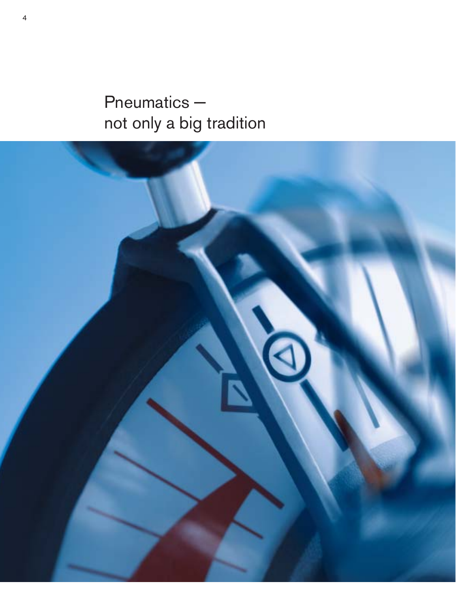Pneumatics − not only a big tradition

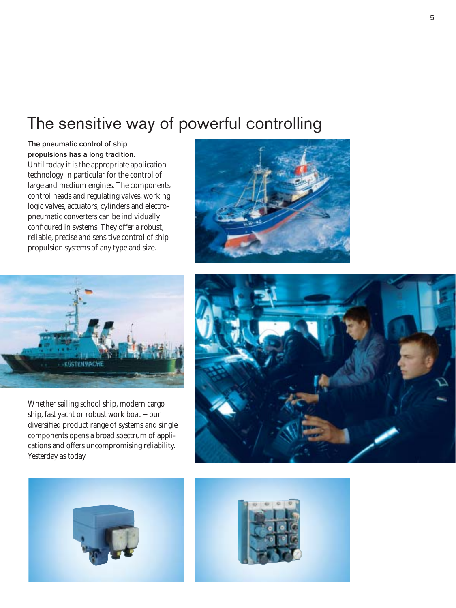### The sensitive way of powerful controlling

The pneumatic control of ship propulsions has a long tradition. Until today it is the appropriate application technology in particular for the control of large and medium engines. The components control heads and regulating valves, working logic valves, actuators, cylinders and electropneumatic converters can be individually configured in systems. They offer a robust, reliable, precise and sensitive control of ship propulsion systems of any type and size.





Whether sailing school ship, modern cargo ship, fast yacht or robust work boat − our diversified product range of systems and single components opens a broad spectrum of applications and offers uncompromising reliability. Yesterday as today.





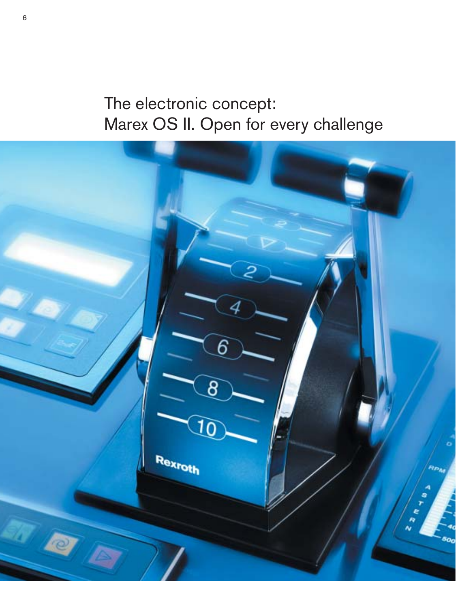# The electronic concept: Marex OS II. Open for every challenge

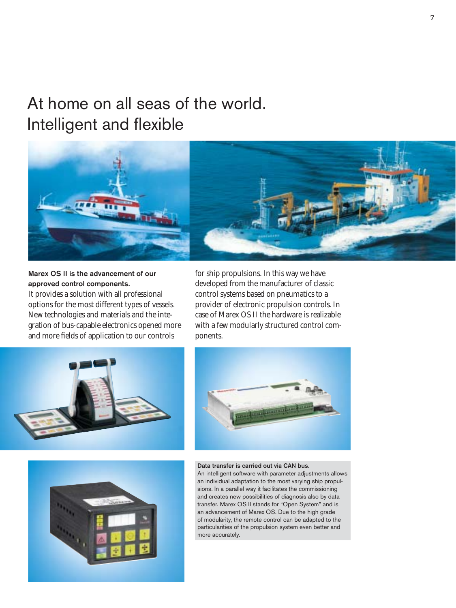## At home on all seas of the world. Intelligent and flexible



Marex OS II is the advancement of our approved control components. It provides a solution with all professional options for the most different types of vessels. New technologies and materials and the integration of bus-capable electronics opened more and more fields of application to our controls

for ship propulsions. In this way we have developed from the manufacturer of classic control systems based on pneumatics to a provider of electronic propulsion controls. In case of Marex OS II the hardware is realizable with a few modularly structured control components.







#### Data transfer is carried out via CAN bus.

An intelligent software with parameter adjustments allows an individual adaptation to the most varying ship propulsions. In a parallel way it facilitates the commissioning and creates new possibilities of diagnosis also by data transfer. Marex OS II stands for "Open System" and is an advancement of Marex OS. Due to the high grade of modularity, the remote control can be adapted to the particularities of the propulsion system even better and more accurately.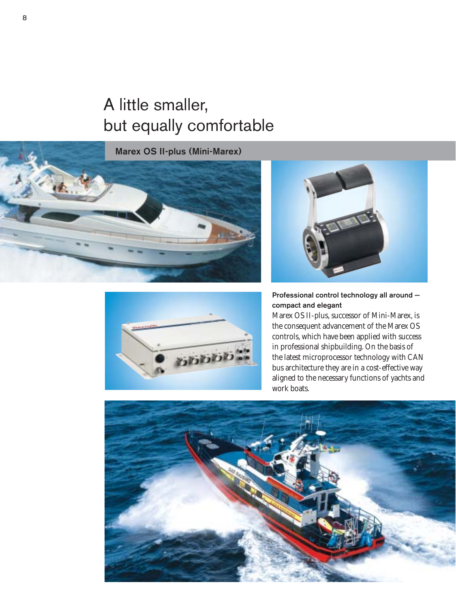# A little smaller, but equally comfortable

Marex OS II-plus (Mini-Marex)







Professional control technology all around − compact and elegant

Marex OS II-plus, successor of Mini-Marex, is the consequent advancement of the Marex OS controls, which have been applied with success in professional shipbuilding. On the basis of the latest microprocessor technology with CAN bus architecture they are in a cost-effective way aligned to the necessary functions of yachts and work boats.

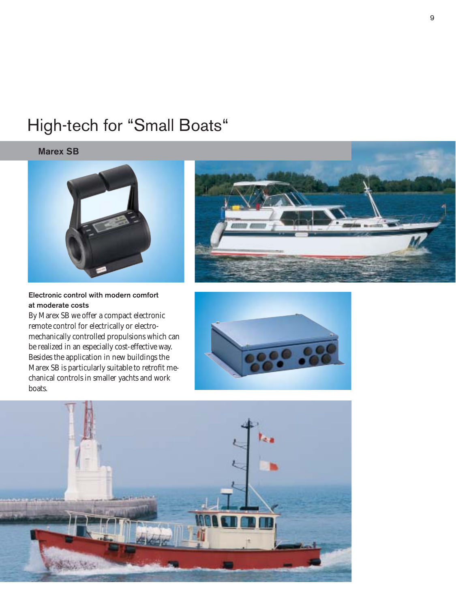## High-tech for "Small Boats"

### Marex SB



### Electronic control with modern comfort at moderate costs

By Marex SB we offer a compact electronic remote control for electrically or electromechanically controlled propulsions which can be realized in an especially cost-effective way. Besides the application in new buildings the Marex SB is particularly suitable to retrofit mechanical controls in smaller yachts and work boats.



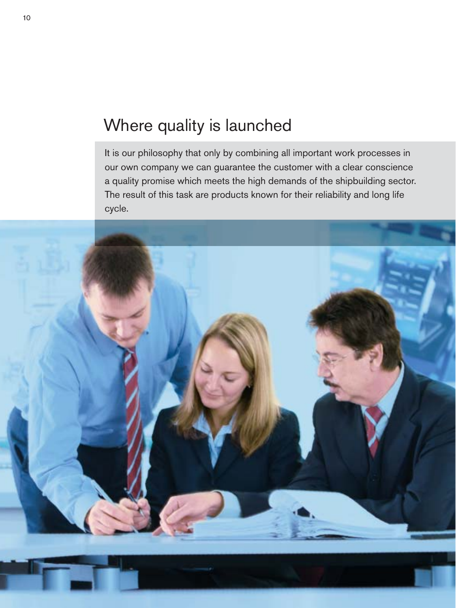## Where quality is launched

It is our philosophy that only by combining all important work processes in our own company we can guarantee the customer with a clear conscience a quality promise which meets the high demands of the shipbuilding sector. The result of this task are products known for their reliability and long life cycle.

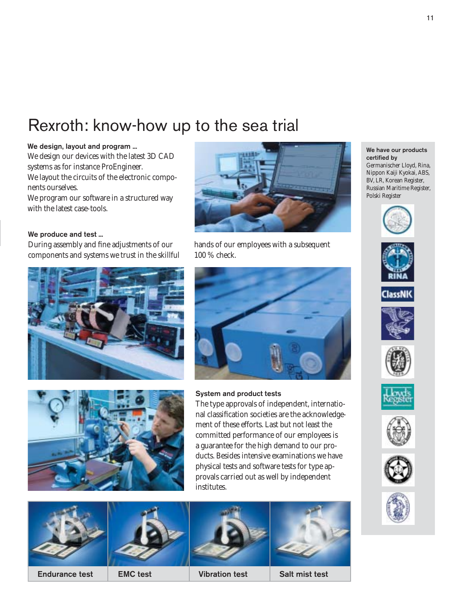### Rexroth: know-how up to the sea trial

### We design, layout and program ...

We design our devices with the latest 3D CAD systems as for instance ProEngineer. We layout the circuits of the electronic components ourselves.

We program our software in a structured way with the latest case-tools.

### We produce and test ...

During assembly and fine adjustments of our components and systems we trust in the skillful







hands of our employees with a subsequent 100 % check.



### System and product tests

The type approvals of independent, international classification societies are the acknowledgement of these efforts. Last but not least the committed performance of our employees is a guarantee for the high demand to our products. Besides intensive examinations we have physical tests and software tests for type approvals carried out as well by independent institutes.





We have our products

Germanischer Lloyd, Rina, Nippon Kaiji Kyokai, ABS, BV, LR, Korean Register, Russian Maritime Register,

certified by

Polski Register















11

Endurance test EMC test Vibration test Salt mist test